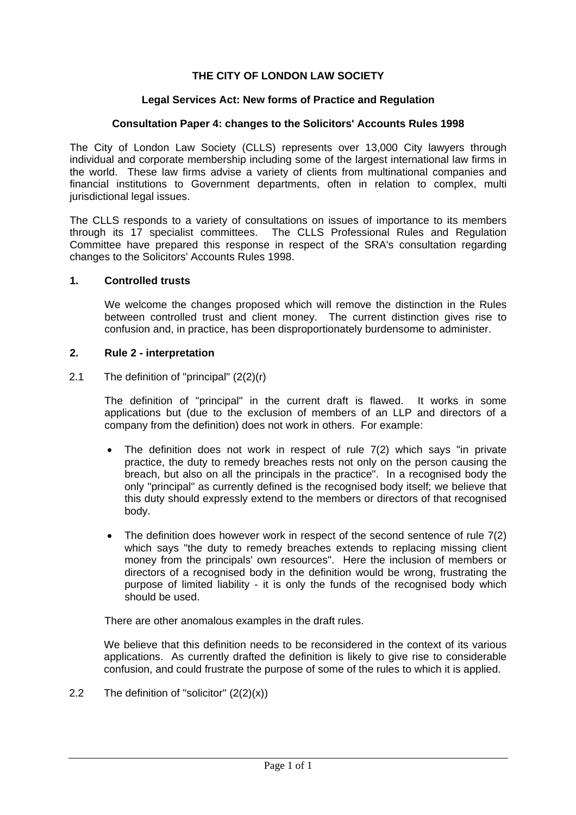# **THE CITY OF LONDON LAW SOCIETY**

## **Legal Services Act: New forms of Practice and Regulation**

#### **Consultation Paper 4: changes to the Solicitors' Accounts Rules 1998**

The City of London Law Society (CLLS) represents over 13,000 City lawyers through individual and corporate membership including some of the largest international law firms in the world. These law firms advise a variety of clients from multinational companies and financial institutions to Government departments, often in relation to complex, multi jurisdictional legal issues.

The CLLS responds to a variety of consultations on issues of importance to its members through its 17 specialist committees. The CLLS Professional Rules and Regulation Committee have prepared this response in respect of the SRA's consultation regarding changes to the Solicitors' Accounts Rules 1998.

## **1. Controlled trusts**

We welcome the changes proposed which will remove the distinction in the Rules between controlled trust and client money. The current distinction gives rise to confusion and, in practice, has been disproportionately burdensome to administer.

#### **2. Rule 2 - interpretation**

2.1 The definition of "principal" (2(2)(r)

The definition of "principal" in the current draft is flawed. It works in some applications but (due to the exclusion of members of an LLP and directors of a company from the definition) does not work in others. For example:

- The definition does not work in respect of rule  $7(2)$  which says "in private practice, the duty to remedy breaches rests not only on the person causing the breach, but also on all the principals in the practice". In a recognised body the only "principal" as currently defined is the recognised body itself; we believe that this duty should expressly extend to the members or directors of that recognised body.
- The definition does however work in respect of the second sentence of rule 7(2) which says "the duty to remedy breaches extends to replacing missing client money from the principals' own resources". Here the inclusion of members or directors of a recognised body in the definition would be wrong, frustrating the purpose of limited liability - it is only the funds of the recognised body which should be used.

There are other anomalous examples in the draft rules.

We believe that this definition needs to be reconsidered in the context of its various applications. As currently drafted the definition is likely to give rise to considerable confusion, and could frustrate the purpose of some of the rules to which it is applied.

<span id="page-0-0"></span>2.2 The definition of "solicitor"  $(2(2)(x))$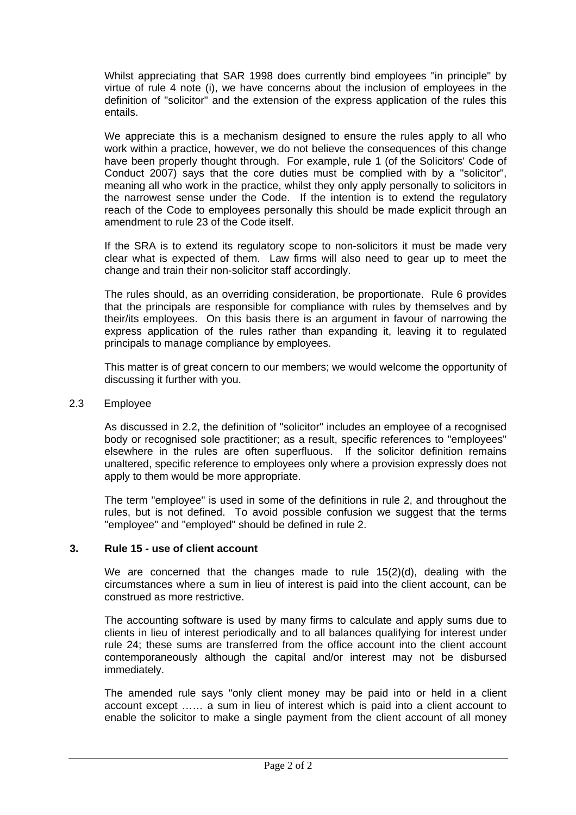Whilst appreciating that SAR 1998 does currently bind employees "in principle" by virtue of rule 4 note (i), we have concerns about the inclusion of employees in the definition of "solicitor" and the extension of the express application of the rules this entails.

We appreciate this is a mechanism designed to ensure the rules apply to all who work within a practice, however, we do not believe the consequences of this change have been properly thought through. For example, rule 1 (of the Solicitors' Code of Conduct 2007) says that the core duties must be complied with by a "solicitor", meaning all who work in the practice, whilst they only apply personally to solicitors in the narrowest sense under the Code. If the intention is to extend the regulatory reach of the Code to employees personally this should be made explicit through an amendment to rule 23 of the Code itself.

If the SRA is to extend its regulatory scope to non-solicitors it must be made very clear what is expected of them. Law firms will also need to gear up to meet the change and train their non-solicitor staff accordingly.

The rules should, as an overriding consideration, be proportionate. Rule 6 provides that the principals are responsible for compliance with rules by themselves and by their/its employees. On this basis there is an argument in favour of narrowing the express application of the rules rather than expanding it, leaving it to regulated principals to manage compliance by employees.

This matter is of great concern to our members; we would welcome the opportunity of discussing it further with you.

# 2.3 Employee

As discussed in [2.2,](#page-0-0) the definition of "solicitor" includes an employee of a recognised body or recognised sole practitioner; as a result, specific references to "employees" elsewhere in the rules are often superfluous. If the solicitor definition remains unaltered, specific reference to employees only where a provision expressly does not apply to them would be more appropriate.

The term "employee" is used in some of the definitions in rule 2, and throughout the rules, but is not defined. To avoid possible confusion we suggest that the terms "employee" and "employed" should be defined in rule 2.

# **3. Rule 15 - use of client account**

We are concerned that the changes made to rule  $15(2)(d)$ , dealing with the circumstances where a sum in lieu of interest is paid into the client account, can be construed as more restrictive.

The accounting software is used by many firms to calculate and apply sums due to clients in lieu of interest periodically and to all balances qualifying for interest under rule 24; these sums are transferred from the office account into the client account contemporaneously although the capital and/or interest may not be disbursed immediately.

The amended rule says "only client money may be paid into or held in a client account except …… a sum in lieu of interest which is paid into a client account to enable the solicitor to make a single payment from the client account of all money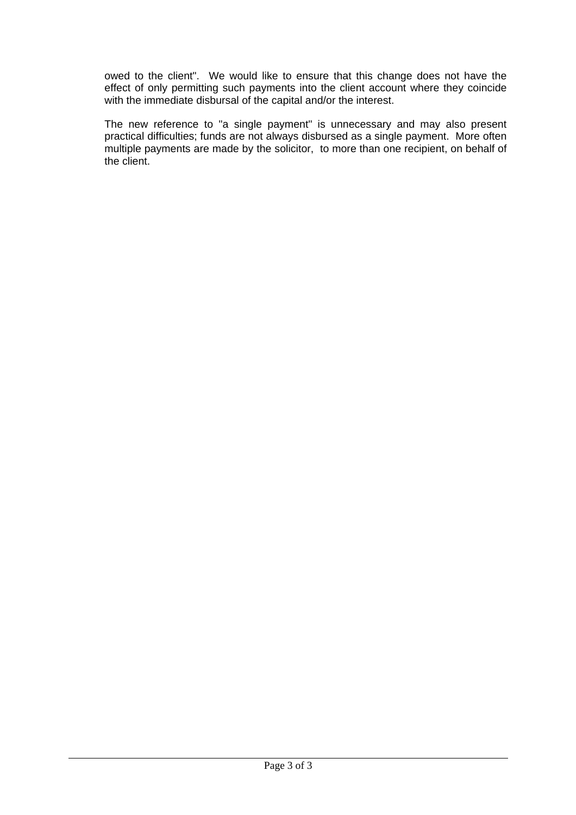owed to the client". We would like to ensure that this change does not have the effect of only permitting such payments into the client account where they coincide with the immediate disbursal of the capital and/or the interest.

The new reference to "a single payment" is unnecessary and may also present practical difficulties; funds are not always disbursed as a single payment. More often multiple payments are made by the solicitor, to more than one recipient, on behalf of the client.